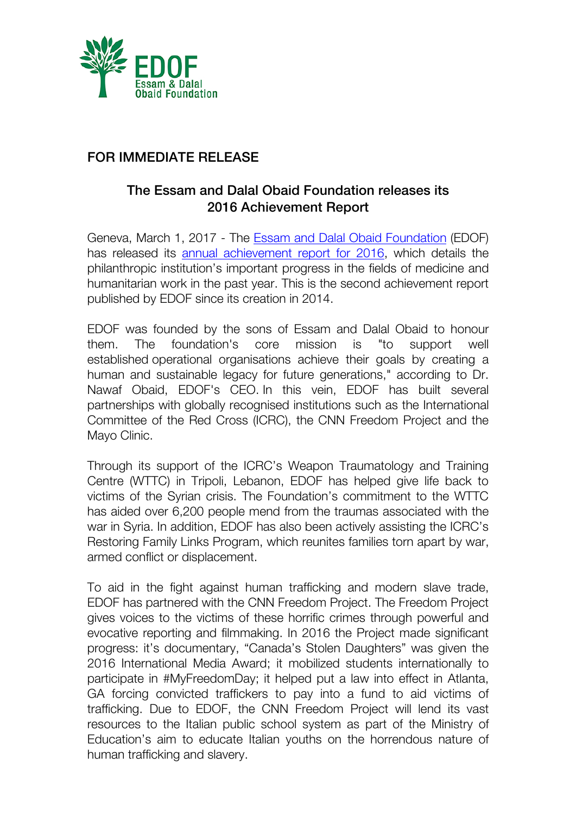

## FOR IMMEDIATE RELEASE

## The Essam and Dalal Obaid Foundation releases its 2016 Achievement Report

Geneva, March 1, 2017 - The Essam and Dalal Obaid Foundation (EDOF) has released its annual achievement report for 2016, which details the philanthropic institution's important progress in the fields of medicine and humanitarian work in the past year. This is the second achievement report published by EDOF since its creation in 2014.

EDOF was founded by the sons of Essam and Dalal Obaid to honour them. The foundation's core mission is "to support well established operational organisations achieve their goals by creating a human and sustainable legacy for future generations," according to Dr. Nawaf Obaid, EDOF's CEO. In this vein, EDOF has built several partnerships with globally recognised institutions such as the International Committee of the Red Cross (ICRC), the CNN Freedom Project and the Mayo Clinic.

Through its support of the ICRC's Weapon Traumatology and Training Centre (WTTC) in Tripoli, Lebanon, EDOF has helped give life back to victims of the Syrian crisis. The Foundation's commitment to the WTTC has aided over 6,200 people mend from the traumas associated with the war in Syria. In addition, EDOF has also been actively assisting the ICRC's Restoring Family Links Program, which reunites families torn apart by war, armed conflict or displacement.

To aid in the fight against human trafficking and modern slave trade, EDOF has partnered with the CNN Freedom Project. The Freedom Project gives voices to the victims of these horrific crimes through powerful and evocative reporting and filmmaking. In 2016 the Project made significant progress: it's documentary, "Canada's Stolen Daughters" was given the 2016 International Media Award; it mobilized students internationally to participate in #MyFreedomDay; it helped put a law into effect in Atlanta, GA forcing convicted traffickers to pay into a fund to aid victims of trafficking. Due to EDOF, the CNN Freedom Project will lend its vast resources to the Italian public school system as part of the Ministry of Education's aim to educate Italian youths on the horrendous nature of human trafficking and slavery.